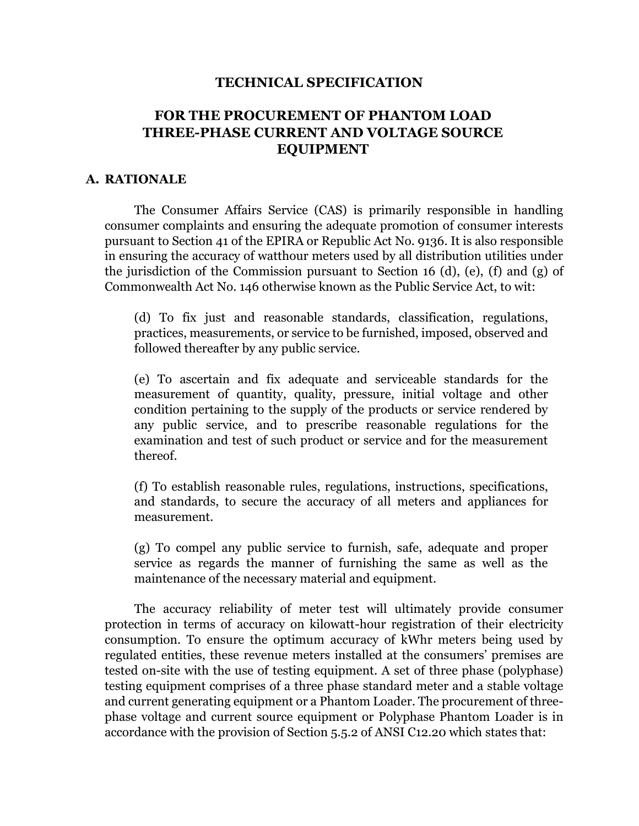#### **TECHNICAL SPECIFICATION**

# **FOR THE PROCUREMENT OF PHANTOM LOAD THREE-PHASE CURRENT AND VOLTAGE SOURCE EQUIPMENT**

### **A. RATIONALE**

The Consumer Affairs Service (CAS) is primarily responsible in handling consumer complaints and ensuring the adequate promotion of consumer interests pursuant to Section 41 of the EPIRA or Republic Act No. 9136. It is also responsible in ensuring the accuracy of watthour meters used by all distribution utilities under the jurisdiction of the Commission pursuant to Section 16 (d), (e), (f) and (g) of Commonwealth Act No. 146 otherwise known as the Public Service Act, to wit:

(d) To fix just and reasonable standards, classification, regulations, practices, measurements, or service to be furnished, imposed, observed and followed thereafter by any public service.

(e) To ascertain and fix adequate and serviceable standards for the measurement of quantity, quality, pressure, initial voltage and other condition pertaining to the supply of the products or service rendered by any public service, and to prescribe reasonable regulations for the examination and test of such product or service and for the measurement thereof.

(f) To establish reasonable rules, regulations, instructions, specifications, and standards, to secure the accuracy of all meters and appliances for measurement.

(g) To compel any public service to furnish, safe, adequate and proper service as regards the manner of furnishing the same as well as the maintenance of the necessary material and equipment.

The accuracy reliability of meter test will ultimately provide consumer protection in terms of accuracy on kilowatt-hour registration of their electricity consumption. To ensure the optimum accuracy of kWhr meters being used by regulated entities, these revenue meters installed at the consumers' premises are tested on-site with the use of testing equipment. A set of three phase (polyphase) testing equipment comprises of a three phase standard meter and a stable voltage and current generating equipment or a Phantom Loader. The procurement of threephase voltage and current source equipment or Polyphase Phantom Loader is in accordance with the provision of Section 5.5.2 of ANSI C12.20 which states that: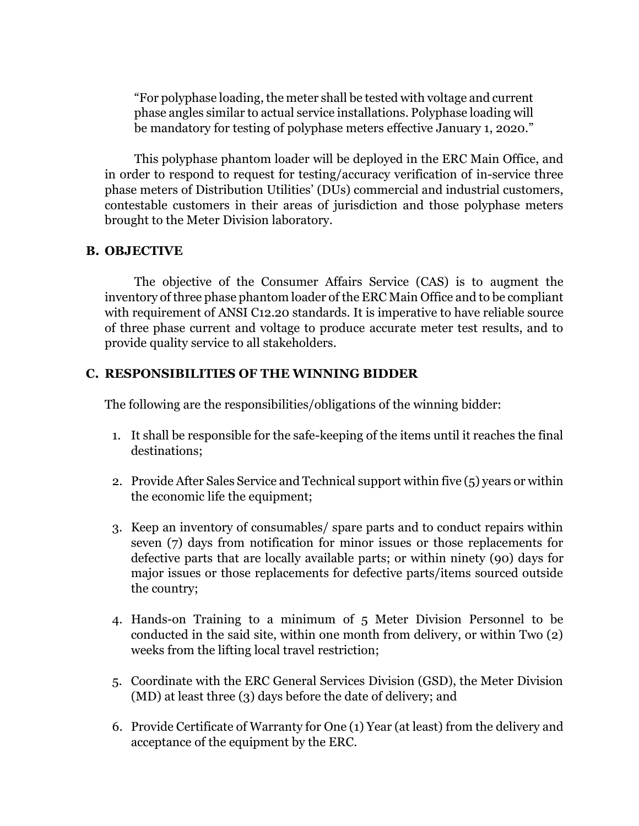"For polyphase loading, the meter shall be tested with voltage and current phase angles similar to actual service installations. Polyphase loading will be mandatory for testing of polyphase meters effective January 1, 2020."

This polyphase phantom loader will be deployed in the ERC Main Office, and in order to respond to request for testing/accuracy verification of in-service three phase meters of Distribution Utilities' (DUs) commercial and industrial customers, contestable customers in their areas of jurisdiction and those polyphase meters brought to the Meter Division laboratory.

#### **B. OBJECTIVE**

The objective of the Consumer Affairs Service (CAS) is to augment the inventory of three phase phantom loader of the ERC Main Office and to be compliant with requirement of ANSI C12.20 standards. It is imperative to have reliable source of three phase current and voltage to produce accurate meter test results, and to provide quality service to all stakeholders.

### **C. RESPONSIBILITIES OF THE WINNING BIDDER**

The following are the responsibilities/obligations of the winning bidder:

- 1. It shall be responsible for the safe-keeping of the items until it reaches the final destinations;
- 2. Provide After Sales Service and Technical support within five (5) years or within the economic life the equipment;
- 3. Keep an inventory of consumables/ spare parts and to conduct repairs within seven (7) days from notification for minor issues or those replacements for defective parts that are locally available parts; or within ninety (90) days for major issues or those replacements for defective parts/items sourced outside the country;
- 4. Hands-on Training to a minimum of 5 Meter Division Personnel to be conducted in the said site, within one month from delivery, or within Two (2) weeks from the lifting local travel restriction;
- 5. Coordinate with the ERC General Services Division (GSD), the Meter Division (MD) at least three (3) days before the date of delivery; and
- 6. Provide Certificate of Warranty for One (1) Year (at least) from the delivery and acceptance of the equipment by the ERC.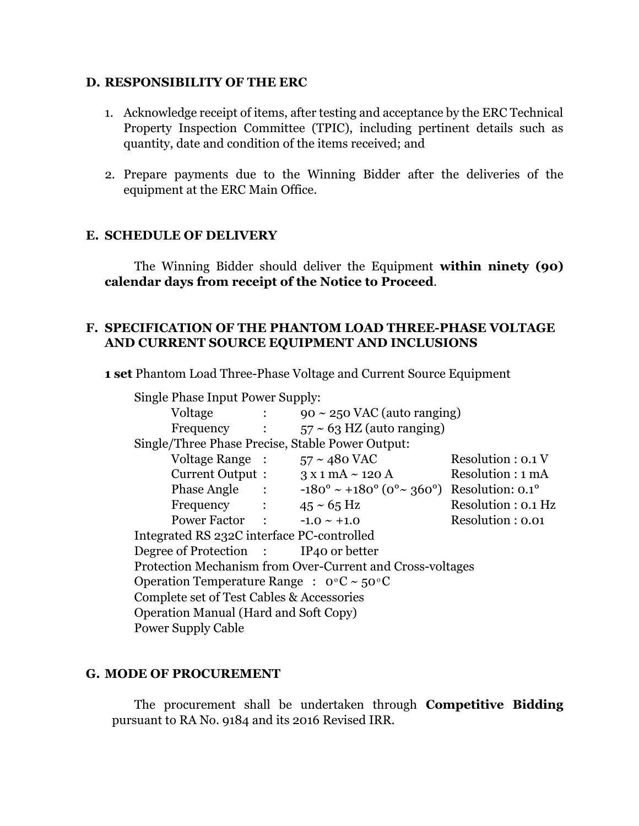#### **D. RESPONSIBILITY OF THE ERC**

- 1. Acknowledge receipt of items, after testing and acceptance by the ERC Technical Property Inspection Committee (TPIC), including pertinent details such as quantity, date and condition of the items received; and
- 2. Prepare payments due to the Winning Bidder after the deliveries of the equipment at the ERC Main Office.

#### **E. SCHEDULE OF DELIVERY**

The Winning Bidder should deliver the Equipment **within ninety (90) calendar days from receipt of the Notice to Proceed**.

#### **F. SPECIFICATION OF THE PHANTOM LOAD THREE-PHASE VOLTAGE AND CURRENT SOURCE EQUIPMENT AND INCLUSIONS**

**1 set** Phantom Load Three-Phase Voltage and Current Source Equipment

| Single Phase Input Power Supply:                            |                             |                                                               |                     |
|-------------------------------------------------------------|-----------------------------|---------------------------------------------------------------|---------------------|
| Voltage                                                     | $\mathcal{L} = \mathcal{L}$ | $90 \sim 250$ VAC (auto ranging)                              |                     |
| Frequency :                                                 |                             | $57 \sim 63$ HZ (auto ranging)                                |                     |
| Single/Three Phase Precise, Stable Power Output:            |                             |                                                               |                     |
| Voltage Range :                                             |                             | $57 \sim 480$ VAC                                             | Resolution : 0.1 V  |
| Current Output :                                            |                             | $3 \times 1$ mA $\sim$ 120 A                                  | Resolution : 1 mA   |
| Phase Angle :                                               |                             | $-180^{\circ} \sim +180^{\circ}$ (0° ~ 360°) Resolution: 0.1° |                     |
| Frequency : $45 \approx 65 \text{ Hz}$                      |                             |                                                               | Resolution : 0.1 Hz |
| Power Factor : $-1.0 \sim +1.0$                             |                             |                                                               | Resolution : 0.01   |
| Integrated RS 232C interface PC-controlled                  |                             |                                                               |                     |
| Degree of Protection : IP40 or better                       |                             |                                                               |                     |
| Protection Mechanism from Over-Current and Cross-voltages   |                             |                                                               |                     |
| Operation Temperature Range : $0^{\circ}C \sim 50^{\circ}C$ |                             |                                                               |                     |
| Complete set of Test Cables & Accessories                   |                             |                                                               |                     |
| <b>Operation Manual (Hard and Soft Copy)</b>                |                             |                                                               |                     |
| <b>Power Supply Cable</b>                                   |                             |                                                               |                     |

## **G. MODE OF PROCUREMENT**

The procurement shall be undertaken through **Competitive Bidding** pursuant to RA No. 9184 and its 2016 Revised IRR.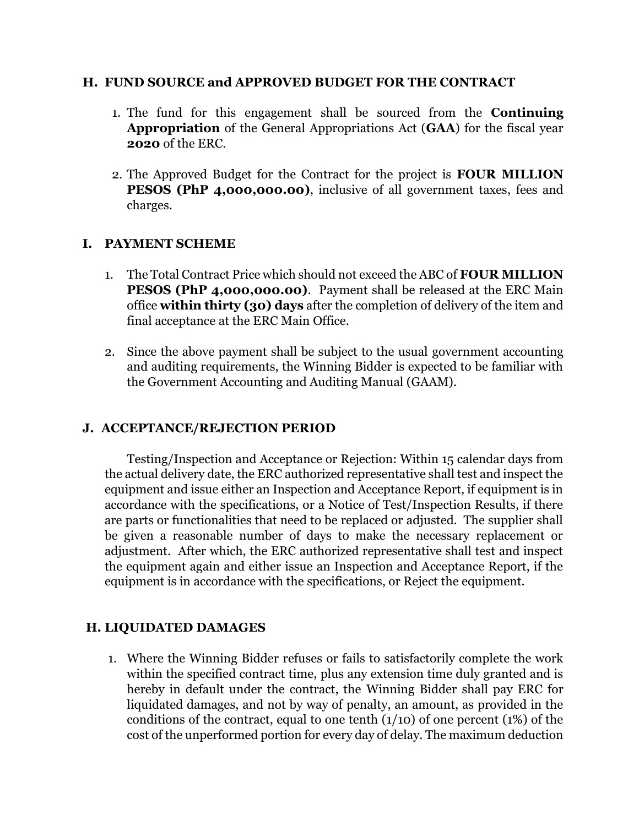#### **H. FUND SOURCE and APPROVED BUDGET FOR THE CONTRACT**

- 1. The fund for this engagement shall be sourced from the **Continuing Appropriation** of the General Appropriations Act (**GAA**) for the fiscal year **2020** of the ERC.
- 2. The Approved Budget for the Contract for the project is **FOUR MILLION PESOS (PhP 4,000,000.00)**, inclusive of all government taxes, fees and charges.

#### **I. PAYMENT SCHEME**

- 1. The Total Contract Price which should not exceed the ABC of **FOUR MILLION PESOS (PhP 4,000,000.00)**. Payment shall be released at the ERC Main office **within thirty (30) days** after the completion of delivery of the item and final acceptance at the ERC Main Office.
- 2. Since the above payment shall be subject to the usual government accounting and auditing requirements, the Winning Bidder is expected to be familiar with the Government Accounting and Auditing Manual (GAAM).

#### **J. ACCEPTANCE/REJECTION PERIOD**

Testing/Inspection and Acceptance or Rejection: Within 15 calendar days from the actual delivery date, the ERC authorized representative shall test and inspect the equipment and issue either an Inspection and Acceptance Report, if equipment is in accordance with the specifications, or a Notice of Test/Inspection Results, if there are parts or functionalities that need to be replaced or adjusted. The supplier shall be given a reasonable number of days to make the necessary replacement or adjustment. After which, the ERC authorized representative shall test and inspect the equipment again and either issue an Inspection and Acceptance Report, if the equipment is in accordance with the specifications, or Reject the equipment.

## **H. LIQUIDATED DAMAGES**

1. Where the Winning Bidder refuses or fails to satisfactorily complete the work within the specified contract time, plus any extension time duly granted and is hereby in default under the contract, the Winning Bidder shall pay ERC for liquidated damages, and not by way of penalty, an amount, as provided in the conditions of the contract, equal to one tenth  $(1/10)$  of one percent  $(1%)$  of the cost of the unperformed portion for every day of delay. The maximum deduction